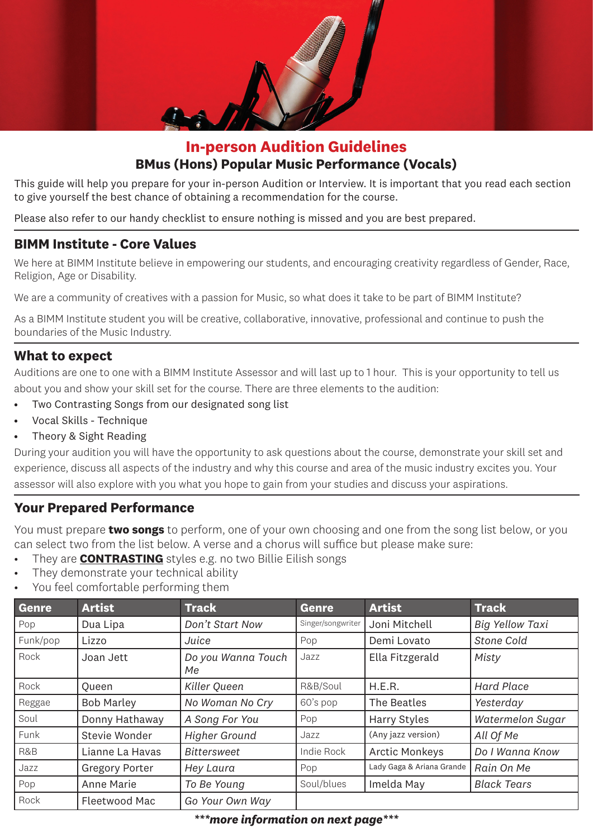

# **In-person Audition Guidelines BMus (Hons) Popular Music Performance (Vocals)**

This guide will help you prepare for your in-person Audition or Interview. It is important that you read each section to give yourself the best chance of obtaining a recommendation for the course.

Please also refer to our handy checklist to ensure nothing is missed and you are best prepared.

#### **BIMM Institute - Core Values**

We here at BIMM Institute believe in empowering our students, and encouraging creativity regardless of Gender, Race, Religion, Age or Disability.

We are a community of creatives with a passion for Music, so what does it take to be part of BIMM Institute?

As a BIMM Institute student you will be creative, collaborative, innovative, professional and continue to push the boundaries of the Music Industry.

#### **What to expect**

Auditions are one to one with a BIMM Institute Assessor and will last up to 1 hour. This is your opportunity to tell us about you and show your skill set for the course. There are three elements to the audition:

- Two Contrasting Songs from our designated song list
- Vocal Skills Technique
- Theory & Sight Reading

During your audition you will have the opportunity to ask questions about the course, demonstrate your skill set and experience, discuss all aspects of the industry and why this course and area of the music industry excites you. Your assessor will also explore with you what you hope to gain from your studies and discuss your aspirations.

#### **Your Prepared Performance**

You must prepare **two songs** to perform, one of your own choosing and one from the song list below, or you can select two from the list below. A verse and a chorus will suffice but please make sure:

- They are **CONTRASTING** styles e.g. no two Billie Eilish songs
- They demonstrate your technical ability
- You feel comfortable performing them

| Genre    | <b>Artist</b>         | <b>Track</b>             | <b>Genre</b>      | <b>Artist</b>             | <b>Track</b>            |
|----------|-----------------------|--------------------------|-------------------|---------------------------|-------------------------|
| Pop      | Dua Lipa              | Don't Start Now          | Singer/songwriter | Joni Mitchell             | <b>Big Yellow Taxi</b>  |
| Funk/pop | Lizzo                 | Juice                    | Pop               | Demi Lovato               | <b>Stone Cold</b>       |
| Rock     | Joan Jett             | Do you Wanna Touch<br>Мe | Jazz              | Ella Fitzgerald           | Misty                   |
| Rock     | <b>Oueen</b>          | Killer Queen             | R&B/Soul          | H.E.R.                    | <b>Hard Place</b>       |
| Reggae   | <b>Bob Marley</b>     | No Woman No Cry          | 60's pop          | The Beatles               | Yesterday               |
| Soul     | Donny Hathaway        | A Song For You           | Pop               | <b>Harry Styles</b>       | <b>Watermelon Sugar</b> |
| Funk     | Stevie Wonder         | <b>Higher Ground</b>     | Jazz              | (Any jazz version)        | All Of Me               |
| R&B      | Lianne La Havas       | Bittersweet              | Indie Rock        | <b>Arctic Monkeys</b>     | Do I Wanna Know         |
| Jazz     | <b>Gregory Porter</b> | Hey Laura                | Pop               | Lady Gaga & Ariana Grande | Rain On Me              |
| Pop      | Anne Marie            | To Be Young              | Soul/blues        | Imelda May                | <b>Black Tears</b>      |
| Rock     | Fleetwood Mac         | Go Your Own Way          |                   |                           |                         |